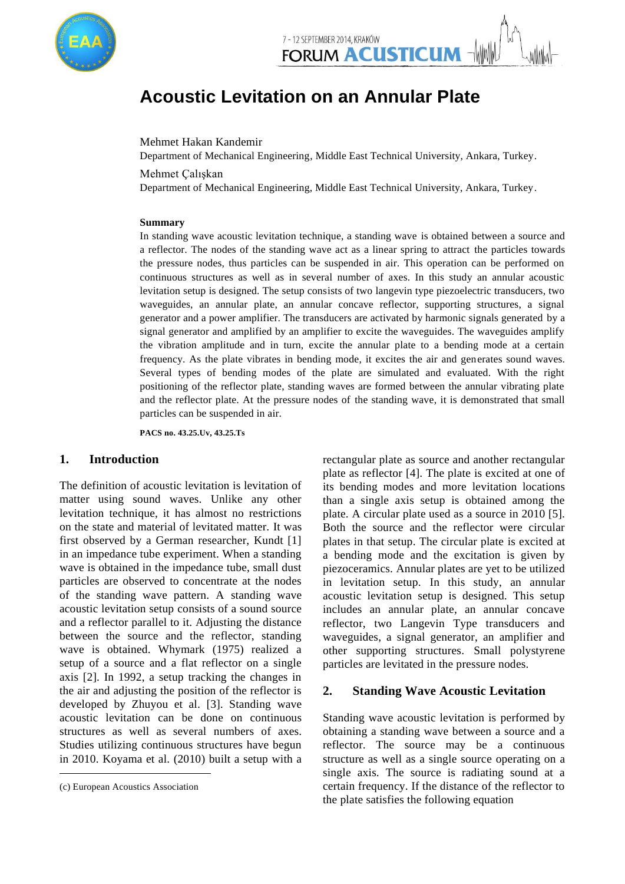

# **Acoustic Levitation on an Annular Plate**

Mehmet Hakan Kandemir

Department of Mechanical Engineering, Middle East Technical University, Ankara, Turkey.

Mehmet Çalışkan

Department of Mechanical Engineering, Middle East Technical University, Ankara, Turkey.

#### **Summary**

In standing wave acoustic levitation technique, a standing wave is obtained between a source and a reflector. The nodes of the standing wave act as a linear spring to attract the particles towards the pressure nodes, thus particles can be suspended in air. This operation can be performed on continuous structures as well as in several number of axes. In this study an annular acoustic levitation setup is designed. The setup consists of two langevin type piezoelectric transducers, two waveguides, an annular plate, an annular concave reflector, supporting structures, a signal generator and a power amplifier. The transducers are activated by harmonic signals generated by a signal generator and amplified by an amplifier to excite the waveguides. The waveguides amplify the vibration amplitude and in turn, excite the annular plate to a bending mode at a certain frequency. As the plate vibrates in bending mode, it excites the air and generates sound waves. Several types of bending modes of the plate are simulated and evaluated. With the right positioning of the reflector plate, standing waves are formed between the annular vibrating plate and the reflector plate. At the pressure nodes of the standing wave, it is demonstrated that small particles can be suspended in air.

**PACS no. 43.25.Uv, 43.25.Ts**

# **1. Introduction<sup>1</sup>**

The definition of acoustic levitation is levitation of matter using sound waves. Unlike any other levitation technique, it has almost no restrictions on the state and material of levitated matter. It was first observed by a German researcher, Kundt [1] in an impedance tube experiment. When a standing wave is obtained in the impedance tube, small dust particles are observed to concentrate at the nodes of the standing wave pattern. A standing wave acoustic levitation setup consists of a sound source and a reflector parallel to it. Adjusting the distance between the source and the reflector, standing wave is obtained. Whymark (1975) realized a setup of a source and a flat reflector on a single axis [2]. In 1992, a setup tracking the changes in the air and adjusting the position of the reflector is developed by Zhuyou et al. [3]. Standing wave acoustic levitation can be done on continuous structures as well as several numbers of axes. Studies utilizing continuous structures have begun in 2010. Koyama et al. (2010) built a setup with a

l

rectangular plate as source and another rectangular plate as reflector [4]. The plate is excited at one of its bending modes and more levitation locations than a single axis setup is obtained among the plate. A circular plate used as a source in 2010 [5]. Both the source and the reflector were circular plates in that setup. The circular plate is excited at a bending mode and the excitation is given by piezoceramics. Annular plates are yet to be utilized in levitation setup. In this study, an annular acoustic levitation setup is designed. This setup includes an annular plate, an annular concave reflector, two Langevin Type transducers and waveguides, a signal generator, an amplifier and other supporting structures. Small polystyrene particles are levitated in the pressure nodes.

## **2. Standing Wave Acoustic Levitation**

Standing wave acoustic levitation is performed by obtaining a standing wave between a source and a reflector. The source may be a continuous structure as well as a single source operating on a single axis. The source is radiating sound at a certain frequency. If the distance of the reflector to the plate satisfies the following equation

<sup>1</sup> (c) European Acoustics Association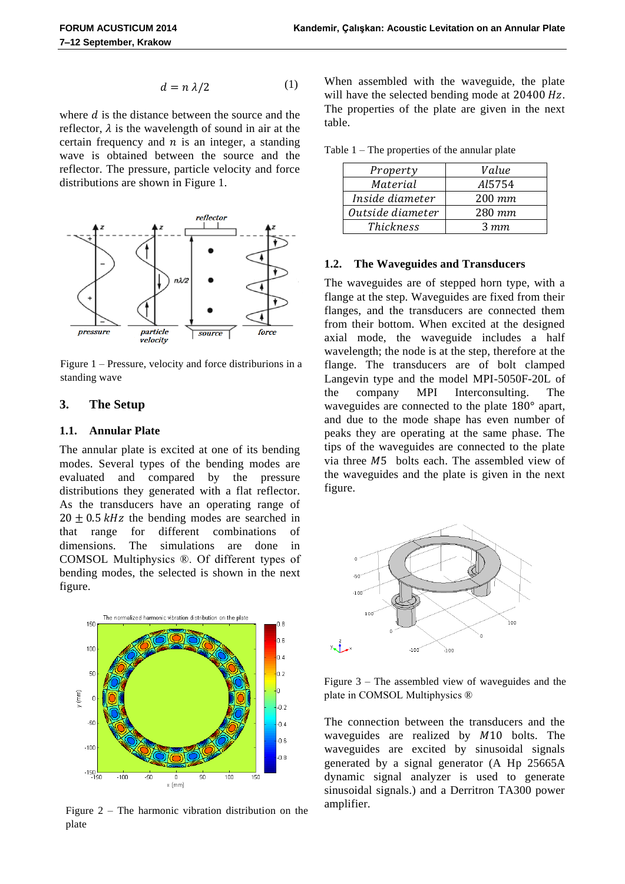$$
d = n \lambda/2 \tag{1}
$$

where  $d$  is the distance between the source and the reflector,  $\lambda$  is the wavelength of sound in air at the certain frequency and  $n$  is an integer, a standing wave is obtained between the source and the reflector. The pressure, particle velocity and force distributions are shown in Figure 1.



Figure 1 – Pressure, velocity and force distriburions in a standing wave

# **3. The Setup**

### **1.1. Annular Plate**

The annular plate is excited at one of its bending modes. Several types of the bending modes are evaluated and compared by the pressure distributions they generated with a flat reflector. As the transducers have an operating range of  $20 + 0.5$  kHz the bending modes are searched in that range for different combinations of dimensions. The simulations are done in COMSOL Multiphysics ®. Of different types of bending modes, the selected is shown in the next figure.



Figure  $2$  – The harmonic vibration distribution on the plate

When assembled with the waveguide, the plate will have the selected bending mode at  $20400 Hz$ . The properties of the plate are given in the next table.

Table 1 – The properties of the annular plate

| Property         | Value     |
|------------------|-----------|
| Material         | Al5754    |
| Inside diameter  | $200$ mm  |
| Outside diameter | $280$ mm  |
| <i>Thickness</i> | $3 \; mm$ |

#### **1.2. The Waveguides and Transducers**

The waveguides are of stepped horn type, with a flange at the step. Waveguides are fixed from their flanges, and the transducers are connected them from their bottom. When excited at the designed axial mode, the waveguide includes a half wavelength; the node is at the step, therefore at the flange. The transducers are of bolt clamped Langevin type and the model MPI-5050F-20L of the company MPI Interconsulting. The waveguides are connected to the plate  $180^\circ$  apart, and due to the mode shape has even number of peaks they are operating at the same phase. The tips of the waveguides are connected to the plate via three  $M5$  bolts each. The assembled view of the waveguides and the plate is given in the next figure.



Figure 3 – The assembled view of waveguides and the plate in COMSOL Multiphysics ®

The connection between the transducers and the waveguides are realized by  $M10$  bolts. The waveguides are excited by sinusoidal signals generated by a signal generator (A Hp 25665A dynamic signal analyzer is used to generate sinusoidal signals.) and a Derritron TA300 power amplifier.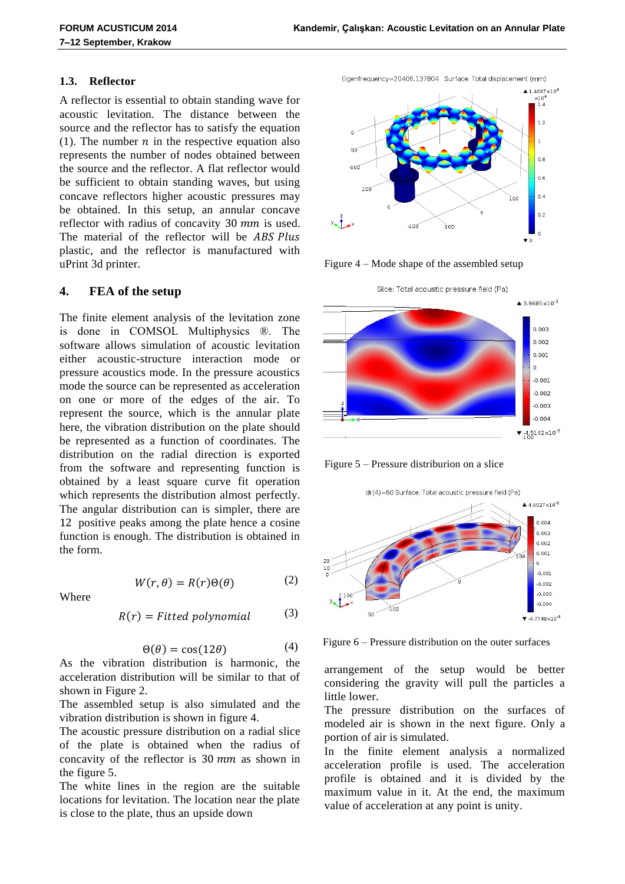#### **1.3. Reflector**

A reflector is essential to obtain standing wave for acoustic levitation. The distance between the source and the reflector has to satisfy the equation (1). The number  $n$  in the respective equation also represents the number of nodes obtained between the source and the reflector. A flat reflector would be sufficient to obtain standing waves, but using concave reflectors higher acoustic pressures may be obtained. In this setup, an annular concave reflector with radius of concavity  $30$  mm is used. The material of the reflector will be ABS Plus plastic, and the reflector is manufactured with uPrint 3d printer.

#### **4. FEA of the setup**

Where

The finite element analysis of the levitation zone is done in COMSOL Multiphysics ®. The software allows simulation of acoustic levitation either acoustic-structure interaction mode or pressure acoustics mode. In the pressure acoustics mode the source can be represented as acceleration on one or more of the edges of the air. To represent the source, which is the annular plate here, the vibration distribution on the plate should be represented as a function of coordinates. The distribution on the radial direction is exported from the software and representing function is obtained by a least square curve fit operation which represents the distribution almost perfectly. The angular distribution can is simpler, there are 12 positive peaks among the plate hence a cosine function is enough. The distribution is obtained in the form.

> $W(r, \theta) = R(r) \Theta(\theta)$ (2)

$$
R(r) = Fitted\ polynomial
$$
 (3)

$$
\Theta(\theta) = \cos(12\theta) \tag{4}
$$

As the vibration distribution is harmonic, the acceleration distribution will be similar to that of shown in Figure 2.

The assembled setup is also simulated and the vibration distribution is shown in figure 4.

The acoustic pressure distribution on a radial slice of the plate is obtained when the radius of concavity of the reflector is  $30 \, mm$  as shown in the figure 5.

The white lines in the region are the suitable locations for levitation. The location near the plate is close to the plate, thus an upside down

Eigenfreguency=20406.137804 Surface: Total displacement (mm)



Figure 4 – Mode shape of the assembled setup



Figure 5 – Pressure distriburion on a slice

dr(4)=60 Surface: Total acoustic pressure field (Pa)



Figure 6 – Pressure distribution on the outer surfaces

arrangement of the setup would be better considering the gravity will pull the particles a little lower.

The pressure distribution on the surfaces of modeled air is shown in the next figure. Only a portion of air is simulated.

In the finite element analysis a normalized acceleration profile is used. The acceleration profile is obtained and it is divided by the maximum value in it. At the end, the maximum value of acceleration at any point is unity.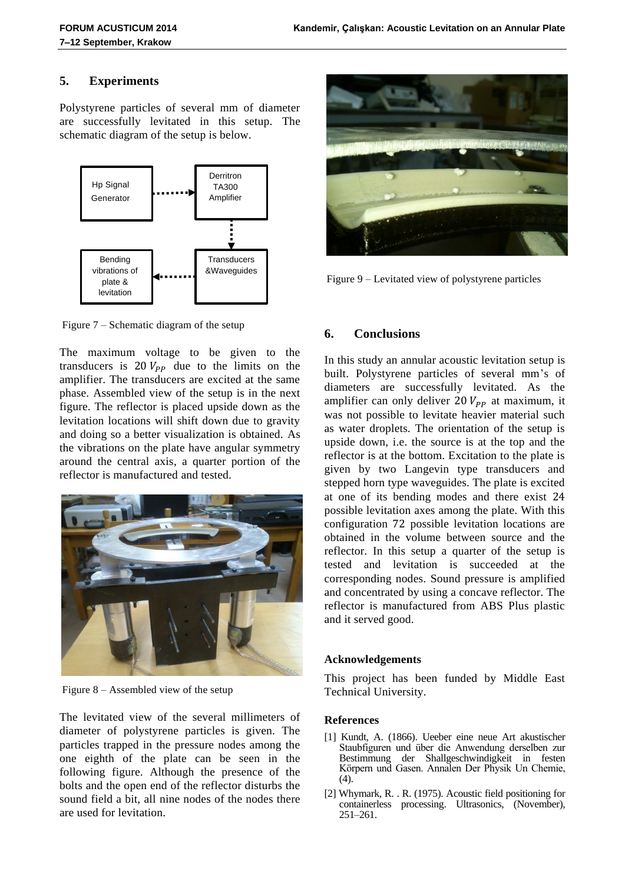# **5. Experiments**

Polystyrene particles of several mm of diameter are successfully levitated in this setup. The schematic diagram of the setup is below.



Figure 7 – Schematic diagram of the setup

The maximum voltage to be given to the transducers is  $20V_{pp}$  due to the limits on the amplifier. The transducers are excited at the same phase. Assembled view of the setup is in the next figure. The reflector is placed upside down as the levitation locations will shift down due to gravity and doing so a better visualization is obtained. As the vibrations on the plate have angular symmetry around the central axis, a quarter portion of the reflector is manufactured and tested.



Figure 8 – Assembled view of the setup

The levitated view of the several millimeters of diameter of polystyrene particles is given. The particles trapped in the pressure nodes among the one eighth of the plate can be seen in the following figure. Although the presence of the bolts and the open end of the reflector disturbs the sound field a bit, all nine nodes of the nodes there are used for levitation.



Figure 9 – Levitated view of polystyrene particles

# **6. Conclusions**

In this study an annular acoustic levitation setup is built. Polystyrene particles of several mm's of diameters are successfully levitated. As the amplifier can only deliver 20  $V_{PP}$  at maximum, it was not possible to levitate heavier material such as water droplets. The orientation of the setup is upside down, i.e. the source is at the top and the reflector is at the bottom. Excitation to the plate is given by two Langevin type transducers and stepped horn type waveguides. The plate is excited at one of its bending modes and there exist possible levitation axes among the plate. With this configuration 72 possible levitation locations are obtained in the volume between source and the reflector. In this setup a quarter of the setup is tested and levitation is succeeded at the corresponding nodes. Sound pressure is amplified and concentrated by using a concave reflector. The reflector is manufactured from ABS Plus plastic and it served good.

## **Acknowledgements**

This project has been funded by Middle East Technical University.

## **References**

- [1] Kundt, A. (1866). Ueeber eine neue Art akustischer Staubfiguren und über die Anwendung derselben zur Bestimmung der Shallgeschwindigkeit in festen Körpern und Gasen. Annalen Der Physik Un Chemie,  $(4)$ .
- [2] Whymark, R. . R. (1975). Acoustic field positioning for containerless processing. Ultrasonics, (November), 251–261.